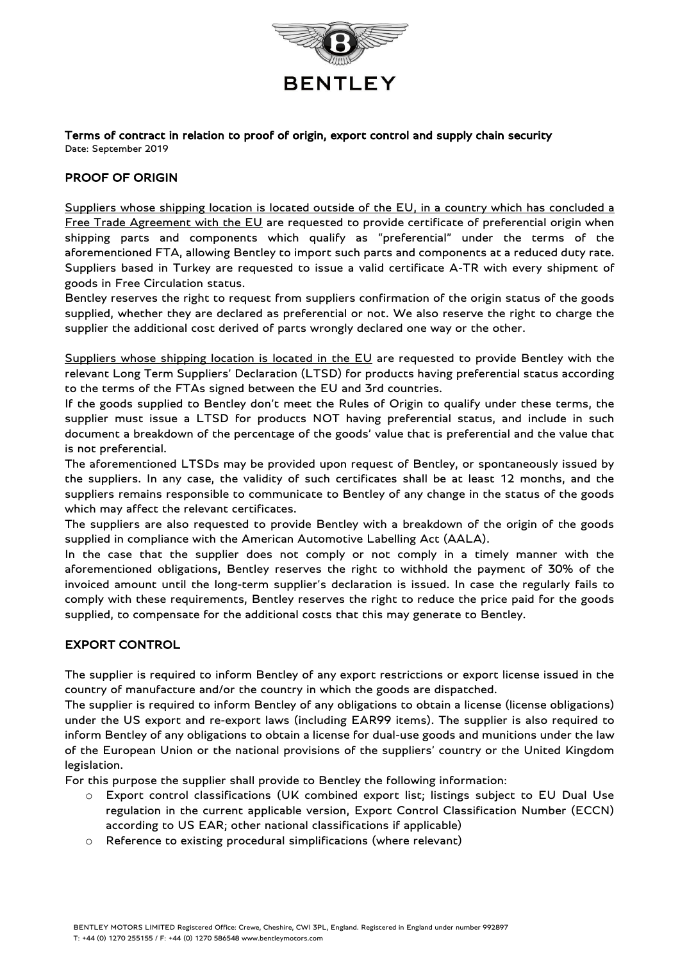

Terms of contract in relation to proof of origin, export control and supply chain security Date: September 2019

## PROOF OF ORIGIN

Suppliers whose shipping location is located outside of the EU, in a country which has concluded a Free Trade Agreement with the EU are requested to provide certificate of preferential origin when shipping parts and components which qualify as "preferential" under the terms of the aforementioned FTA, allowing Bentley to import such parts and components at a reduced duty rate. Suppliers based in Turkey are requested to issue a valid certificate A-TR with every shipment of goods in Free Circulation status.

Bentley reserves the right to request from suppliers confirmation of the origin status of the goods supplied, whether they are declared as preferential or not. We also reserve the right to charge the supplier the additional cost derived of parts wrongly declared one way or the other.

Suppliers whose shipping location is located in the EU are requested to provide Bentley with the relevant Long Term Suppliers' Declaration (LTSD) for products having preferential status according to the terms of the FTAs signed between the EU and 3rd countries.

If the goods supplied to Bentley don't meet the Rules of Origin to qualify under these terms, the supplier must issue a LTSD for products NOT having preferential status, and include in such document a breakdown of the percentage of the goods' value that is preferential and the value that is not preferential.

The aforementioned LTSDs may be provided upon request of Bentley, or spontaneously issued by the suppliers. In any case, the validity of such certificates shall be at least 12 months, and the suppliers remains responsible to communicate to Bentley of any change in the status of the goods which may affect the relevant certificates.

The suppliers are also requested to provide Bentley with a breakdown of the origin of the goods supplied in compliance with the American Automotive Labelling Act (AALA).

In the case that the supplier does not comply or not comply in a timely manner with the aforementioned obligations, Bentley reserves the right to withhold the payment of 30% of the invoiced amount until the long-term supplier's declaration is issued. In case the regularly fails to comply with these requirements, Bentley reserves the right to reduce the price paid for the goods supplied, to compensate for the additional costs that this may generate to Bentley.

## EXPORT CONTROL

The supplier is required to inform Bentley of any export restrictions or export license issued in the country of manufacture and/or the country in which the goods are dispatched.

The supplier is required to inform Bentley of any obligations to obtain a license (license obligations) under the US export and re-export laws (including EAR99 items). The supplier is also required to inform Bentley of any obligations to obtain a license for dual-use goods and munitions under the law of the European Union or the national provisions of the suppliers' country or the United Kingdom legislation.

For this purpose the supplier shall provide to Bentley the following information:

- o Export control classifications (UK combined export list; listings subject to EU Dual Use regulation in the current applicable version, Export Control Classification Number (ECCN) according to US EAR; other national classifications if applicable)
- o Reference to existing procedural simplifications (where relevant)